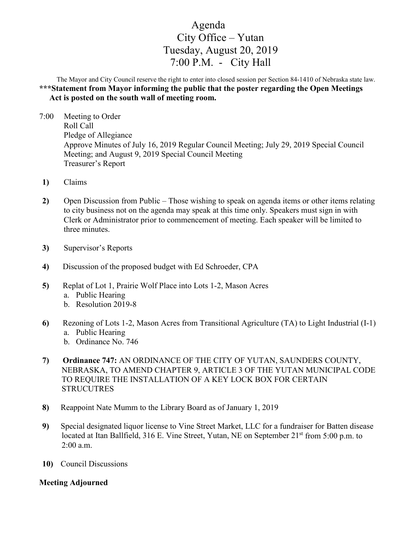## Agenda City Office – Yutan Tuesday, August 20, 2019 7:00 P.M. - City Hall

The Mayor and City Council reserve the right to enter into closed session per Section 84-1410 of Nebraska state law. **\*\*\*Statement from Mayor informing the public that the poster regarding the Open Meetings Act is posted on the south wall of meeting room.** 

- 7:00 Meeting to Order Roll Call Pledge of Allegiance Approve Minutes of July 16, 2019 Regular Council Meeting; July 29, 2019 Special Council Meeting; and August 9, 2019 Special Council Meeting Treasurer's Report
- **1)** Claims
- **2)** Open Discussion from Public Those wishing to speak on agenda items or other items relating to city business not on the agenda may speak at this time only. Speakers must sign in with Clerk or Administrator prior to commencement of meeting. Each speaker will be limited to three minutes.
- **3)** Supervisor's Reports
- **4)** Discussion of the proposed budget with Ed Schroeder, CPA
- **5)** Replat of Lot 1, Prairie Wolf Place into Lots 1-2, Mason Acres a. Public Hearing
	- b. Resolution 2019-8
- **6)** Rezoning of Lots 1-2, Mason Acres from Transitional Agriculture (TA) to Light Industrial (I-1) a. Public Hearing
	- b. Ordinance No. 746
- **7) Ordinance 747:** AN ORDINANCE OF THE CITY OF YUTAN, SAUNDERS COUNTY, NEBRASKA, TO AMEND CHAPTER 9, ARTICLE 3 OF THE YUTAN MUNICIPAL CODE TO REQUIRE THE INSTALLATION OF A KEY LOCK BOX FOR CERTAIN **STRUCUTRES**
- **8)** Reappoint Nate Mumm to the Library Board as of January 1, 2019
- **9)** Special designated liquor license to Vine Street Market, LLC for a fundraiser for Batten disease located at Itan Ballfield, 316 E. Vine Street, Yutan, NE on September 21<sup>st</sup> from 5:00 p.m. to 2:00 a.m.
- **10)** Council Discussions

## **Meeting Adjourned**